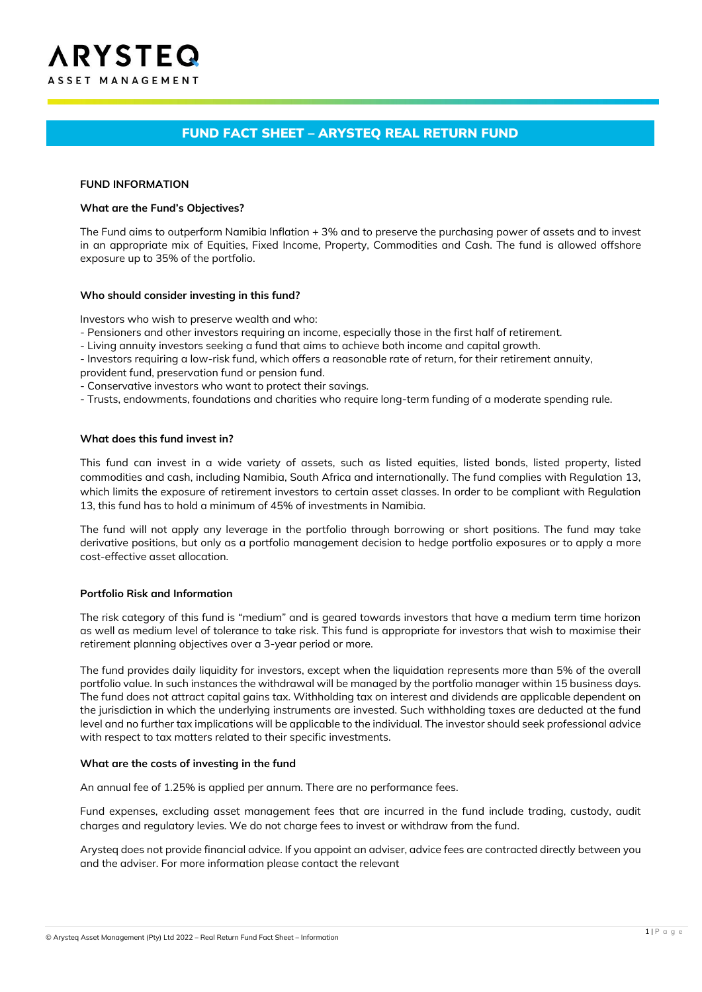# FUND FACT SHEET – ARYSTEQ REAL RETURN FUND

#### **FUND INFORMATION**

#### **What are the Fund's Objectives?**

The Fund aims to outperform Namibia Inflation + 3% and to preserve the purchasing power of assets and to invest in an appropriate mix of Equities, Fixed Income, Property, Commodities and Cash. The fund is allowed offshore exposure up to 35% of the portfolio.

### **Who should consider investing in this fund?**

Investors who wish to preserve wealth and who:

- Pensioners and other investors requiring an income, especially those in the first half of retirement.
- Living annuity investors seeking a fund that aims to achieve both income and capital growth.
- Investors requiring a low-risk fund, which offers a reasonable rate of return, for their retirement annuity,
- provident fund, preservation fund or pension fund.
- Conservative investors who want to protect their savings.
- Trusts, endowments, foundations and charities who require long-term funding of a moderate spending rule.

#### **What does this fund invest in?**

This fund can invest in a wide variety of assets, such as listed equities, listed bonds, listed property, listed commodities and cash, including Namibia, South Africa and internationally. The fund complies with Regulation 13, which limits the exposure of retirement investors to certain asset classes. In order to be compliant with Regulation 13, this fund has to hold a minimum of 45% of investments in Namibia.

The fund will not apply any leverage in the portfolio through borrowing or short positions. The fund may take derivative positions, but only as a portfolio management decision to hedge portfolio exposures or to apply a more cost-effective asset allocation.

### **Portfolio Risk and Information**

The risk category of this fund is "medium" and is geared towards investors that have a medium term time horizon as well as medium level of tolerance to take risk. This fund is appropriate for investors that wish to maximise their retirement planning objectives over a 3-year period or more.

The fund provides daily liquidity for investors, except when the liquidation represents more than 5% of the overall portfolio value. In such instances the withdrawal will be managed by the portfolio manager within 15 business days. The fund does not attract capital gains tax. Withholding tax on interest and dividends are applicable dependent on the jurisdiction in which the underlying instruments are invested. Such withholding taxes are deducted at the fund level and no further tax implications will be applicable to the individual. The investor should seek professional advice with respect to tax matters related to their specific investments.

#### **What are the costs of investing in the fund**

An annual fee of 1.25% is applied per annum. There are no performance fees.

Fund expenses, excluding asset management fees that are incurred in the fund include trading, custody, audit charges and regulatory levies. We do not charge fees to invest or withdraw from the fund.

Arysteq does not provide financial advice. If you appoint an adviser, advice fees are contracted directly between you and the adviser. For more information please contact the relevant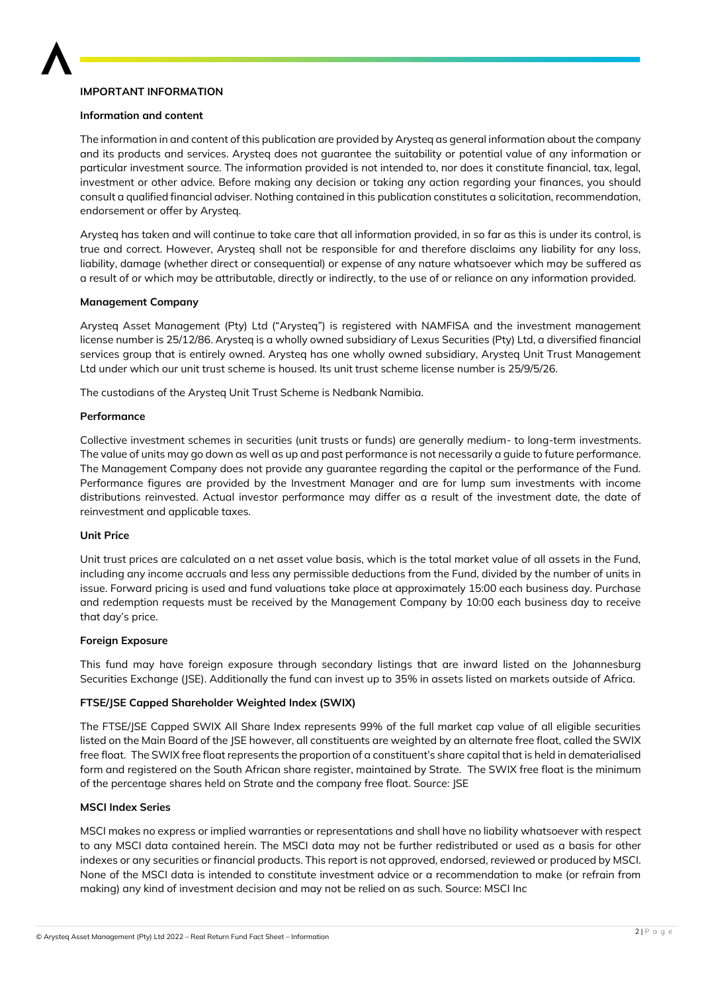

## **IMPORTANT INFORMATION**

## **Information and content**

The information in and content of this publication are provided by Arysteq as general information about the company and its products and services. Arysteq does not guarantee the suitability or potential value of any information or particular investment source. The information provided is not intended to, nor does it constitute financial, tax, legal, investment or other advice. Before making any decision or taking any action regarding your finances, you should consult a qualified financial adviser. Nothing contained in this publication constitutes a solicitation, recommendation, endorsement or offer by Arysteq.

Arysteq has taken and will continue to take care that all information provided, in so far as this is under its control, is true and correct. However, Arysteq shall not be responsible for and therefore disclaims any liability for any loss, liability, damage (whether direct or consequential) or expense of any nature whatsoever which may be suffered as a result of or which may be attributable, directly or indirectly, to the use of or reliance on any information provided.

## **Management Company**

Arysteq Asset Management (Pty) Ltd ("Arysteq") is registered with NAMFISA and the investment management license number is 25/12/86. Arysteq is a wholly owned subsidiary of Lexus Securities (Pty) Ltd, a diversified financial services group that is entirely owned. Arysteq has one wholly owned subsidiary, Arysteq Unit Trust Management Ltd under which our unit trust scheme is housed. Its unit trust scheme license number is 25/9/5/26.

The custodians of the Arysteq Unit Trust Scheme is Nedbank Namibia.

## **Performance**

Collective investment schemes in securities (unit trusts or funds) are generally medium- to long-term investments. The value of units may go down as well as up and past performance is not necessarily a guide to future performance. The Management Company does not provide any guarantee regarding the capital or the performance of the Fund. Performance figures are provided by the Investment Manager and are for lump sum investments with income distributions reinvested. Actual investor performance may differ as a result of the investment date, the date of reinvestment and applicable taxes.

## **Unit Price**

Unit trust prices are calculated on a net asset value basis, which is the total market value of all assets in the Fund, including any income accruals and less any permissible deductions from the Fund, divided by the number of units in issue. Forward pricing is used and fund valuations take place at approximately 15:00 each business day. Purchase and redemption requests must be received by the Management Company by 10:00 each business day to receive that day's price.

### **Foreign Exposure**

This fund may have foreign exposure through secondary listings that are inward listed on the Johannesburg Securities Exchange (JSE). Additionally the fund can invest up to 35% in assets listed on markets outside of Africa.

## **FTSE/JSE Capped Shareholder Weighted Index (SWIX)**

The FTSE/JSE Capped SWIX All Share Index represents 99% of the full market cap value of all eligible securities listed on the Main Board of the JSE however, all constituents are weighted by an alternate free float, called the SWIX free float. The SWIX free float represents the proportion of a constituent's share capital that is held in dematerialised form and registered on the South African share register, maintained by Strate. The SWIX free float is the minimum of the percentage shares held on Strate and the company free float. Source: JSE

## **MSCI Index Series**

MSCI makes no express or implied warranties or representations and shall have no liability whatsoever with respect to any MSCI data contained herein. The MSCI data may not be further redistributed or used as a basis for other indexes or any securities or financial products. This report is not approved, endorsed, reviewed or produced by MSCI. None of the MSCI data is intended to constitute investment advice or a recommendation to make (or refrain from making) any kind of investment decision and may not be relied on as such. Source: MSCI Inc